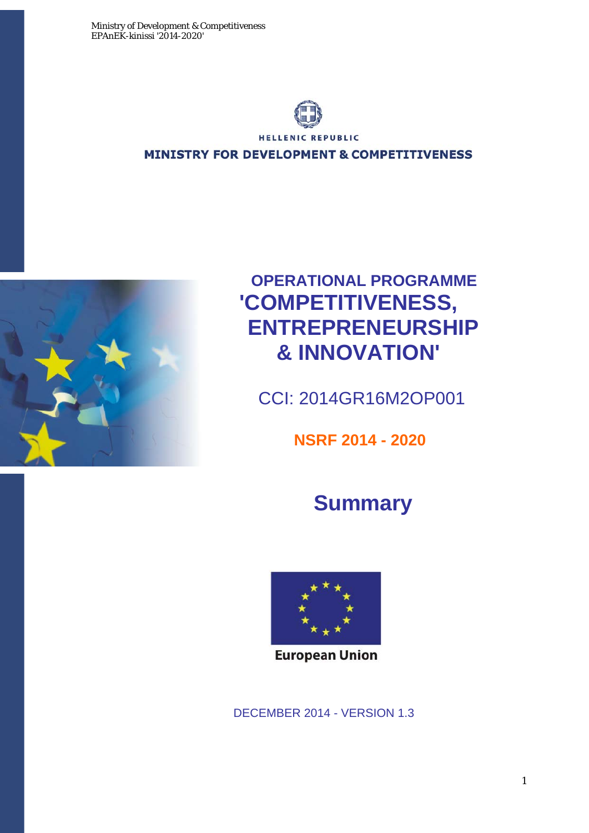

**HELLENIC REPUBLIC** 

**MINISTRY FOR DEVELOPMENT & COMPETITIVENESS** 



# **OPERATIONAL PROGRAMME 'COMPETITIVENESS, ENTREPRENEURSHIP & INNOVATION'**

CCI: 2014GR16M2OP001

 **NSRF 2014 - 2020** 

# **Summary**



**European Union** 

DECEMBER 2014 - VERSION 1.3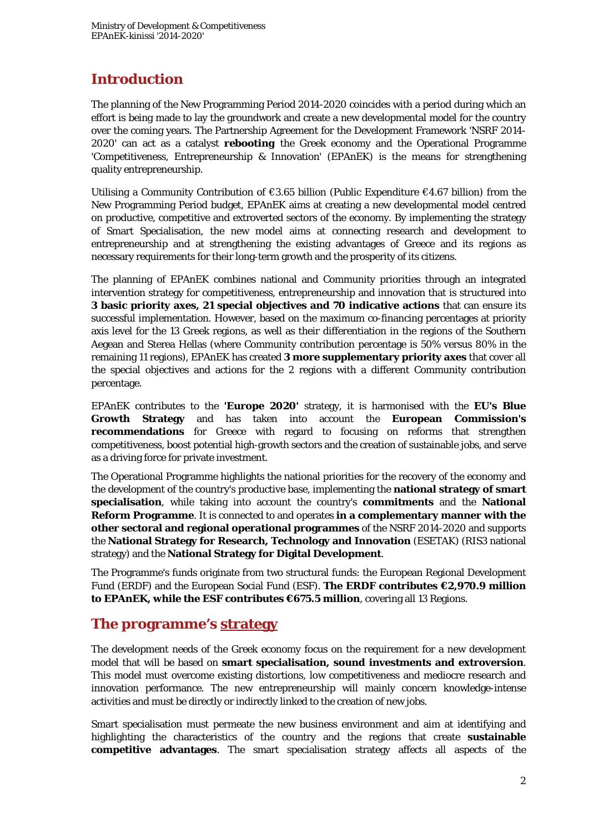# **Introduction**

The planning of the New Programming Period 2014-2020 coincides with a period during which an effort is being made to lay the groundwork and create a new developmental model for the country over the coming years. The Partnership Agreement for the Development Framework 'NSRF 2014- 2020' can act as a catalyst *rebooting* the Greek economy and the Operational Programme 'Competitiveness, Entrepreneurship & Innovation' (EPAnEK) is the means for strengthening quality entrepreneurship.

Utilising a Community Contribution of  $\epsilon$ 3.65 billion (Public Expenditure  $\epsilon$ 4.67 billion) from the New Programming Period budget, EPAnEK aims at creating a new developmental model centred on productive, competitive and extroverted sectors of the economy. By implementing the strategy of Smart Specialisation, the new model aims at connecting research and development to entrepreneurship and at strengthening the existing advantages of Greece and its regions as necessary requirements for their long-term growth and the prosperity of its citizens.

The planning of EPAnEK combines national and Community priorities through an integrated intervention strategy for competitiveness, entrepreneurship and innovation that is structured into **3 basic priority axes, 21 special objectives and 70 indicative actions** that can ensure its successful implementation. However, based on the maximum co-financing percentages at priority axis level for the 13 Greek regions, as well as their differentiation in the regions of the Southern Aegean and Sterea Hellas (where Community contribution percentage is 50% versus 80% in the remaining 11 regions), EPAnEK has created **3 more supplementary priority axes** that cover all the special objectives and actions for the 2 regions with a different Community contribution percentage.

EPAnEK contributes to the **'Europe 2020'** strategy, it is harmonised with the **EU's Blue Growth Strategy** and has taken into account the **European Commission's recommendations** for Greece with regard to focusing on reforms that strengthen competitiveness, boost potential high-growth sectors and the creation of sustainable jobs, and serve as a driving force for private investment.

The Operational Programme highlights the national priorities for the recovery of the economy and the development of the country's productive base, implementing the **national strategy of smart specialisation**, while taking into account the country's **commitments** and the **National Reform Programme**. It is connected to and operates **in a complementary manner with the other sectoral and regional operational programmes** of the NSRF 2014-2020 and supports the **National Strategy for Research, Technology and Innovation** (ESETAK) (RIS3 national strategy) and the **National Strategy for Digital Development**.

The Programme's funds originate from two structural funds: the European Regional Development Fund (ERDF) and the European Social Fund (ESF). **The ERDF contributes €2,970.9 million to EPAnEK, while the ESF contributes €675.5 million**, covering all 13 Regions.

### **The programme's strategy**

The development needs of the Greek economy focus on the requirement for a new development model that will be based on **smart specialisation, sound investments and extroversion**. This model must overcome existing distortions, low competitiveness and mediocre research and innovation performance. The new entrepreneurship will mainly concern knowledge-intense activities and must be directly or indirectly linked to the creation of new jobs.

Smart specialisation must permeate the new business environment and aim at identifying and highlighting the characteristics of the country and the regions that create **sustainable competitive advantages**. The smart specialisation strategy affects all aspects of the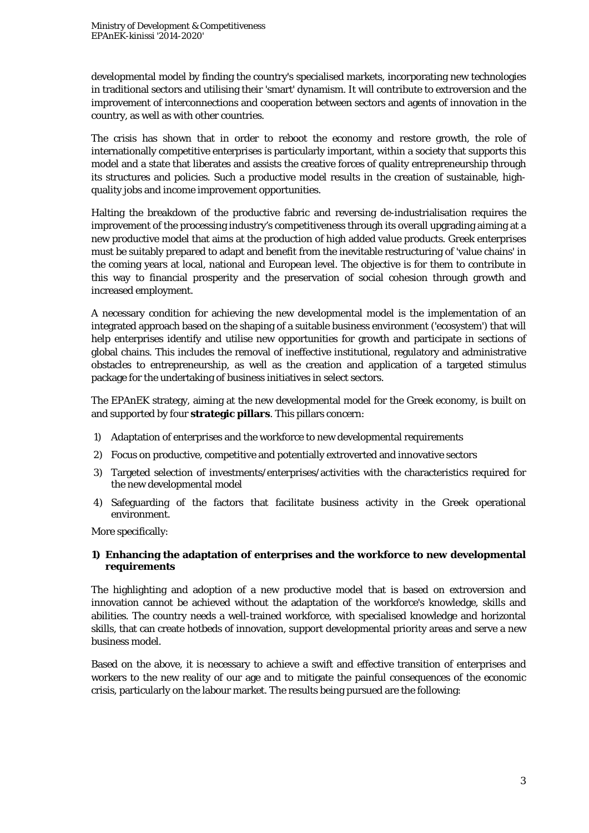developmental model by finding the country's specialised markets, incorporating new technologies in traditional sectors and utilising their 'smart' dynamism. It will contribute to extroversion and the improvement of interconnections and cooperation between sectors and agents of innovation in the country, as well as with other countries.

The crisis has shown that in order to reboot the economy and restore growth, the role of internationally competitive enterprises is particularly important, within a society that supports this model and a state that liberates and assists the creative forces of quality entrepreneurship through its structures and policies. Such a productive model results in the creation of sustainable, highquality jobs and income improvement opportunities.

Halting the breakdown of the productive fabric and reversing de-industrialisation requires the improvement of the processing industry's competitiveness through its overall upgrading aiming at a new productive model that aims at the production of high added value products. Greek enterprises must be suitably prepared to adapt and benefit from the inevitable restructuring of 'value chains' in the coming years at local, national and European level. The objective is for them to contribute in this way to financial prosperity and the preservation of social cohesion through growth and increased employment.

A necessary condition for achieving the new developmental model is the implementation of an integrated approach based on the shaping of a suitable business environment ('ecosystem') that will help enterprises identify and utilise new opportunities for growth and participate in sections of global chains. This includes the removal of ineffective institutional, regulatory and administrative obstacles to entrepreneurship, as well as the creation and application of a targeted stimulus package for the undertaking of business initiatives in select sectors.

The EPAnEK strategy, aiming at the new developmental model for the Greek economy, is built on and supported by four **strategic pillars**. This pillars concern:

- 1) Adaptation of enterprises and the workforce to new developmental requirements
- 2) Focus on productive, competitive and potentially extroverted and innovative sectors
- 3) Targeted selection of investments/enterprises/activities with the characteristics required for the new developmental model
- 4) Safeguarding of the factors that facilitate business activity in the Greek operational environment.

More specifically:

#### **1) Enhancing the adaptation of enterprises and the workforce to new developmental requirements**

The highlighting and adoption of a new productive model that is based on extroversion and innovation cannot be achieved without the adaptation of the workforce's knowledge, skills and abilities. The country needs a well-trained workforce, with specialised knowledge and horizontal skills, that can create hotbeds of innovation, support developmental priority areas and serve a new business model.

Based on the above, it is necessary to achieve a swift and effective transition of enterprises and workers to the new reality of our age and to mitigate the painful consequences of the economic crisis, particularly on the labour market. The results being pursued are the following: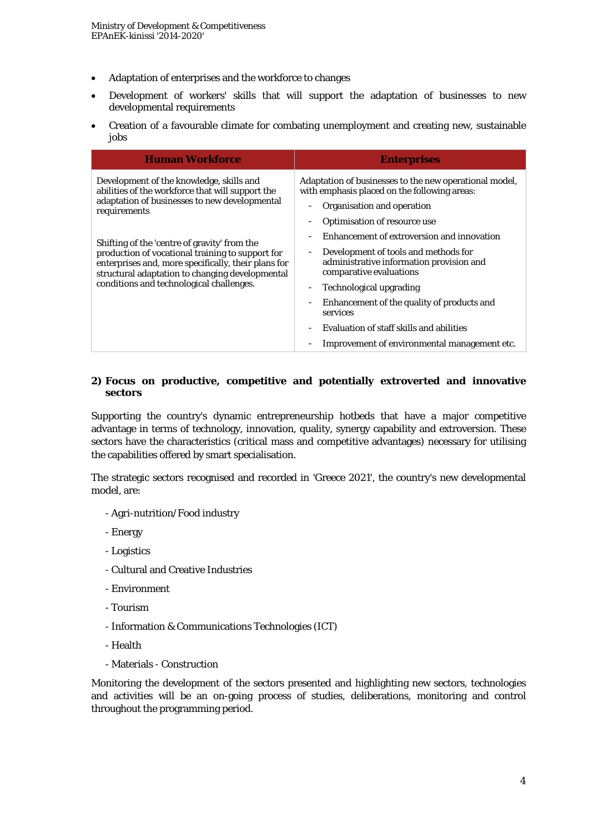- Adaptation of enterprises and the workforce to changes
- Development of workers' skills that will support the adaptation of businesses to new developmental requirements
- Creation of a favourable climate for combating unemployment and creating new, sustainable jobs

| <b>Human Workforce</b>                                                                                                                                                                                     | <b>Enterprises</b>                                                                                                                                                                                           |
|------------------------------------------------------------------------------------------------------------------------------------------------------------------------------------------------------------|--------------------------------------------------------------------------------------------------------------------------------------------------------------------------------------------------------------|
| Development of the knowledge, skills and<br>abilities of the workforce that will support the<br>adaptation of businesses to new developmental<br>requirements                                              | Adaptation of businesses to the new operational model,<br>with emphasis placed on the following areas:<br>Organisation and operation<br>$\overline{\phantom{0}}$<br><b>Optimisation of resource use</b><br>- |
| Shifting of the 'centre of gravity' from the<br>production of vocational training to support for<br>enterprises and, more specifically, their plans for<br>structural adaptation to changing developmental | Enhancement of extroversion and innovation<br>$\qquad \qquad -$<br>Development of tools and methods for<br>$\overline{\phantom{a}}$<br>administrative information provision and<br>comparative evaluations   |
| conditions and technological challenges.                                                                                                                                                                   | Technological upgrading<br>$\overline{\phantom{a}}$<br>Enhancement of the quality of products and<br>$\qquad \qquad -$                                                                                       |
|                                                                                                                                                                                                            | services<br>Evaluation of staff skills and abilities<br>$\overline{\phantom{a}}$<br>Improvement of environmental management etc.                                                                             |

#### **2) Focus on productive, competitive and potentially extroverted and innovative sectors**

Supporting the country's dynamic entrepreneurship hotbeds that have a major competitive advantage in terms of technology, innovation, quality, synergy capability and extroversion. These sectors have the characteristics (critical mass and competitive advantages) necessary for utilising the capabilities offered by smart specialisation.

The strategic sectors recognised and recorded in 'Greece 2021', the country's new developmental model, are:

- Agri-nutrition/Food industry
- Energy
- Logistics
- Cultural and Creative Industries
- Environment
- Tourism
- Information & Communications Technologies (ICT)
- Health
- Materials Construction

Monitoring the development of the sectors presented and highlighting new sectors, technologies and activities will be an on-going process of studies, deliberations, monitoring and control throughout the programming period.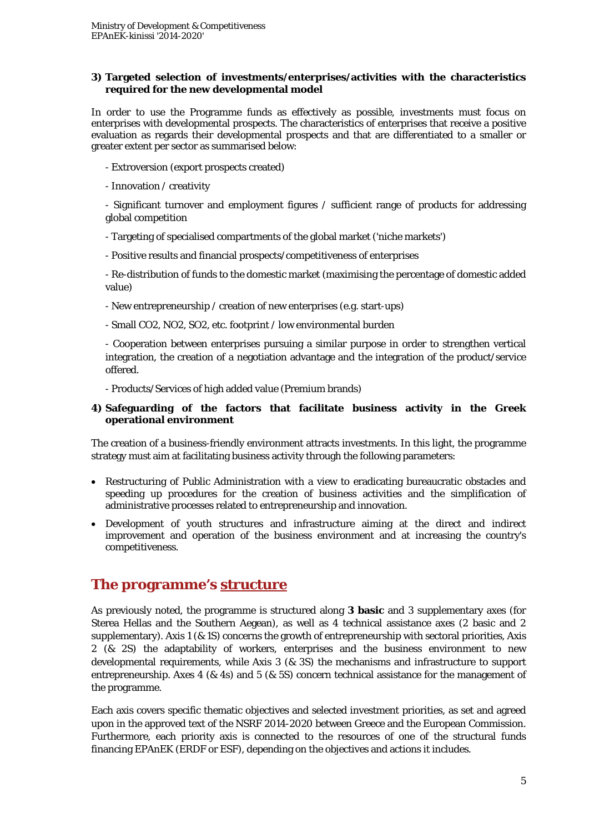#### **3) Targeted selection of investments/enterprises/activities with the characteristics required for the new developmental model**

In order to use the Programme funds as effectively as possible, investments must focus on enterprises with developmental prospects. The characteristics of enterprises that receive a positive evaluation as regards their developmental prospects and that are differentiated to a smaller or greater extent per sector as summarised below:

- Extroversion (export prospects created)
- Innovation / creativity

- Significant turnover and employment figures / sufficient range of products for addressing global competition

- Targeting of specialised compartments of the global market ('niche markets')
- Positive results and financial prospects/competitiveness of enterprises

- Re-distribution of funds to the domestic market (maximising the percentage of domestic added value)

- New entrepreneurship / creation of new enterprises (e.g. start-ups)
- Small CO2, NO2, SO2, etc. footprint / low environmental burden

- Cooperation between enterprises pursuing a similar purpose in order to strengthen vertical integration, the creation of a negotiation advantage and the integration of the product/service offered.

- Products/Services of high added value (Premium brands)

#### **4) Safeguarding of the factors that facilitate business activity in the Greek operational environment**

The creation of a business-friendly environment attracts investments. In this light, the programme strategy must aim at facilitating business activity through the following parameters:

- Restructuring of Public Administration with a view to eradicating bureaucratic obstacles and speeding up procedures for the creation of business activities and the simplification of administrative processes related to entrepreneurship and innovation.
- Development of youth structures and infrastructure aiming at the direct and indirect improvement and operation of the business environment and at increasing the country's competitiveness.

### **The programme's structure**

As previously noted, the programme is structured along **3 basic** and 3 supplementary axes (for Sterea Hellas and the Southern Aegean), as well as 4 technical assistance axes (2 basic and 2 supplementary). Axis 1 (& 1S) concerns the growth of entrepreneurship with sectoral priorities, Axis 2 (& 2S) the adaptability of workers, enterprises and the business environment to new developmental requirements, while Axis 3 (& 3S) the mechanisms and infrastructure to support entrepreneurship. Axes 4 (& 4s) and 5 (& 5S) concern technical assistance for the management of the programme.

Each axis covers specific thematic objectives and selected investment priorities, as set and agreed upon in the approved text of the NSRF 2014-2020 between Greece and the European Commission. Furthermore, each priority axis is connected to the resources of one of the structural funds financing EPAnEK (ERDF or ESF), depending on the objectives and actions it includes.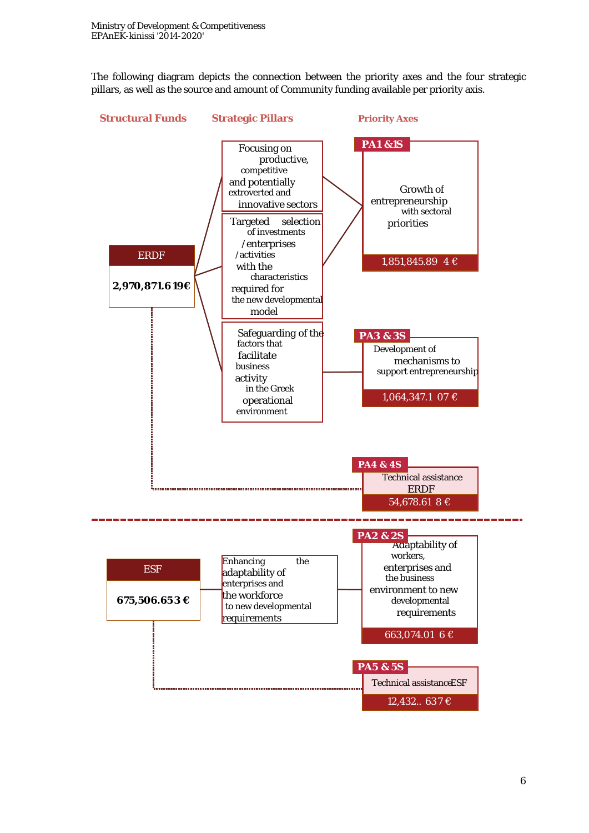The following diagram depicts the connection between the priority axes and the four strategic pillars, as well as the source and amount of Community funding available per priority axis.

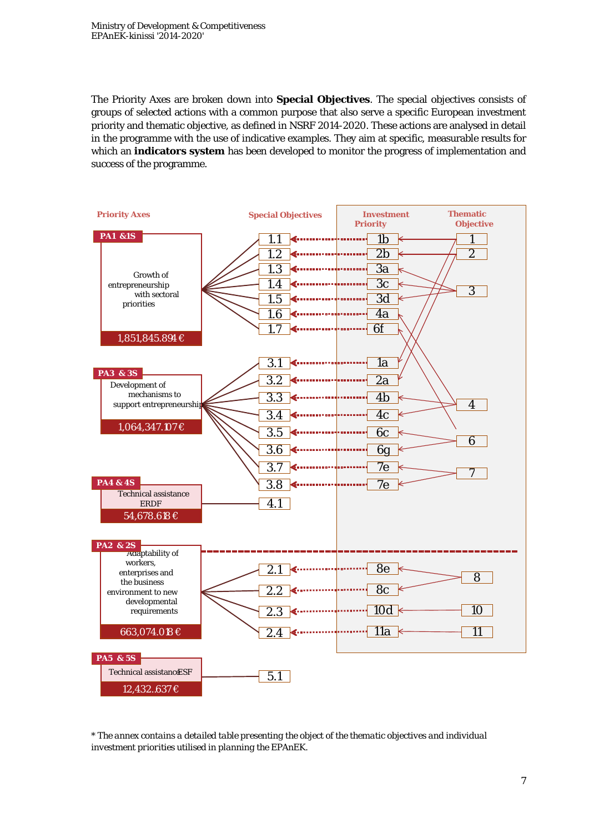The Priority Axes are broken down into **Special Objectives**. The special objectives consists of groups of selected actions with a common purpose that also serve a specific European investment priority and thematic objective, as defined in NSRF 2014-2020. These actions are analysed in detail in the programme with the use of indicative examples. They aim at specific, measurable results for which an **indicators system** has been developed to monitor the progress of implementation and success of the programme.



*<sup>\*</sup> The annex contains a detailed table presenting the object of the thematic objectives and individual investment priorities utilised in planning the EPAnEK.*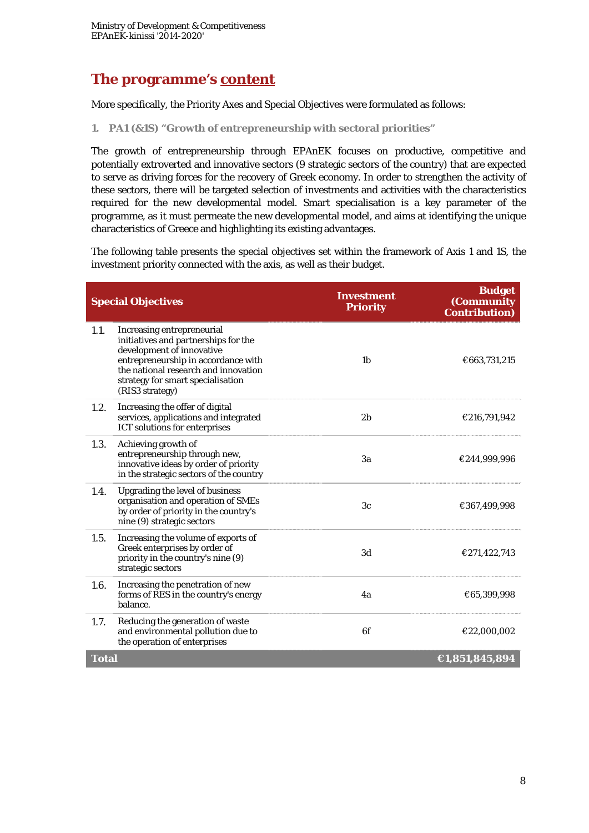## **The programme's content**

More specifically, the Priority Axes and Special Objectives were formulated as follows:

**1. PA1 (&1S) "Growth of entrepreneurship with sectoral priorities"** 

The growth of entrepreneurship through EPAnEK focuses on productive, competitive and potentially extroverted and innovative sectors (9 strategic sectors of the country) that are expected to serve as driving forces for the recovery of Greek economy. In order to strengthen the activity of these sectors, there will be targeted selection of investments and activities with the characteristics required for the new developmental model. Smart specialisation is a key parameter of the programme, as it must permeate the new developmental model, and aims at identifying the unique characteristics of Greece and highlighting its existing advantages.

The following table presents the special objectives set within the framework of Axis 1 and 1S, the investment priority connected with the axis, as well as their budget.

|                                | <b>Special Objectives</b>                                                                                                                                                                                                              | <b>Investment</b><br><b>Priority</b> | <b>Budget</b><br>(Community<br><b>Contribution</b> ) |
|--------------------------------|----------------------------------------------------------------------------------------------------------------------------------------------------------------------------------------------------------------------------------------|--------------------------------------|------------------------------------------------------|
| 1.1.                           | Increasing entrepreneurial<br>initiatives and partnerships for the<br>development of innovative<br>entrepreneurship in accordance with<br>the national research and innovation<br>strategy for smart specialisation<br>(RIS3 strategy) | 1 <sub>b</sub>                       | €663,731,215                                         |
| 1.2.                           | Increasing the offer of digital<br>services, applications and integrated<br><b>ICT</b> solutions for enterprises                                                                                                                       | 2 <sub>b</sub>                       | €216,791,942                                         |
| 1.3.                           | Achieving growth of<br>entrepreneurship through new,<br>innovative ideas by order of priority<br>in the strategic sectors of the country                                                                                               | 3a                                   | €244,999,996                                         |
| 1.4.                           | <b>Upgrading the level of business</b><br>organisation and operation of SMEs<br>by order of priority in the country's<br>nine (9) strategic sectors                                                                                    | 3c                                   | €367,499,998                                         |
| 1.5.                           | Increasing the volume of exports of<br>Greek enterprises by order of<br>priority in the country's nine (9)<br>strategic sectors                                                                                                        | 3d                                   | €271,422,743                                         |
| 1.6.                           | Increasing the penetration of new<br>forms of RES in the country's energy<br>balance.                                                                                                                                                  | 4a                                   | €65,399,998                                          |
| 1.7.                           | Reducing the generation of waste<br>and environmental pollution due to<br>the operation of enterprises                                                                                                                                 | 6f                                   | €22,000,002                                          |
| €1,851,845,894<br><b>Total</b> |                                                                                                                                                                                                                                        |                                      |                                                      |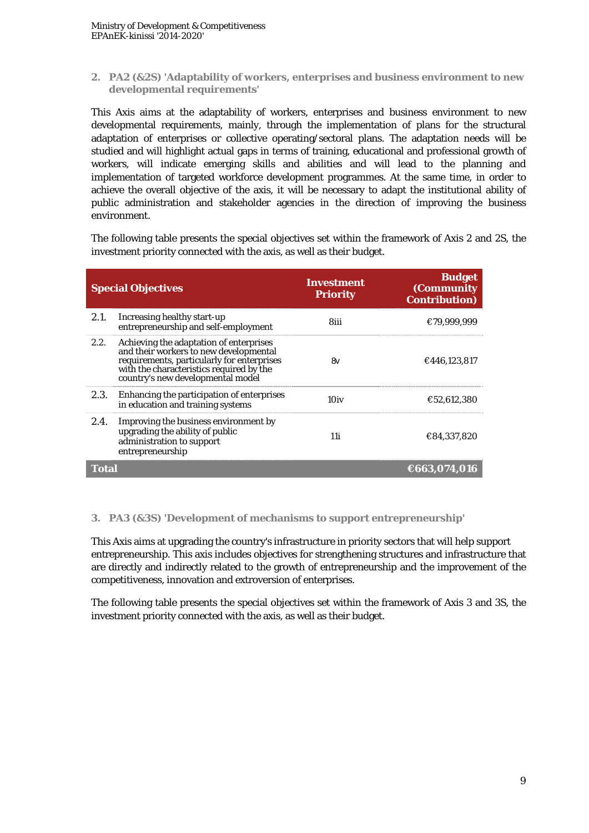**2. PA2 (&2S) 'Adaptability of workers, enterprises and business environment to new developmental requirements'** 

This Axis aims at the adaptability of workers, enterprises and business environment to new developmental requirements, mainly, through the implementation of plans for the structural adaptation of enterprises or collective operating/sectoral plans. The adaptation needs will be studied and will highlight actual gaps in terms of training, educational and professional growth of workers, will indicate emerging skills and abilities and will lead to the planning and implementation of targeted workforce development programmes. At the same time, in order to achieve the overall objective of the axis, it will be necessary to adapt the institutional ability of public administration and stakeholder agencies in the direction of improving the business environment.

The following table presents the special objectives set within the framework of Axis 2 and 2S, the investment priority connected with the axis, as well as their budget.

|              | <b>Special Objectives</b>                                                                                                                                                                                        | Investment<br><b>Priority</b> | <b>Budget</b><br>(Community<br><b>Contribution</b> ) |
|--------------|------------------------------------------------------------------------------------------------------------------------------------------------------------------------------------------------------------------|-------------------------------|------------------------------------------------------|
| 2.1.         | Increasing healthy start-up<br>entrepreneurship and self-employment                                                                                                                                              | 8iii                          | €79.999.999                                          |
| 2.2.         | Achieving the adaptation of enterprises<br>and their workers to new developmental<br>requirements, particularly for enterprises<br>with the characteristics required by the<br>country's new developmental model | 8v                            | €446,123,817                                         |
| 2.3.         | Enhancing the participation of enterprises<br>in education and training systems                                                                                                                                  | 10iv                          | €52.612.380                                          |
| 2.4.         | Improving the business environment by<br>upgrading the ability of public<br>administration to support<br>entrepreneurship                                                                                        | 11 i                          | €84,337,820                                          |
| <b>Total</b> |                                                                                                                                                                                                                  |                               | €663,074,016                                         |

#### **3. PA3 (&3S) 'Development of mechanisms to support entrepreneurship'**

This Axis aims at upgrading the country's infrastructure in priority sectors that will help support entrepreneurship. This axis includes objectives for strengthening structures and infrastructure that are directly and indirectly related to the growth of entrepreneurship and the improvement of the competitiveness, innovation and extroversion of enterprises.

The following table presents the special objectives set within the framework of Axis 3 and 3S, the investment priority connected with the axis, as well as their budget.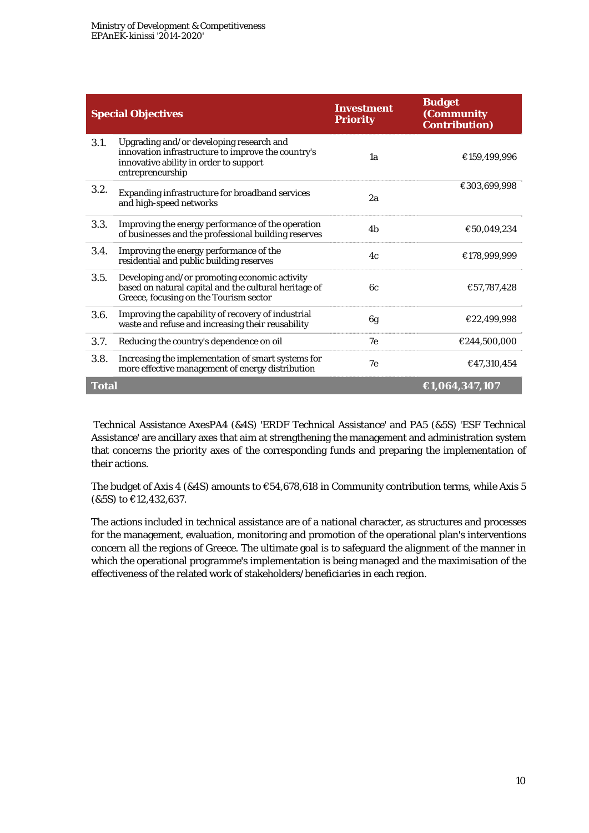|              | <b>Special Objectives</b>                                                                                                                                    | <b>Investment</b><br><b>Priority</b> | <b>Budget</b><br>(Community<br><b>Contribution</b> ) |
|--------------|--------------------------------------------------------------------------------------------------------------------------------------------------------------|--------------------------------------|------------------------------------------------------|
| 3.1.         | Upgrading and/or developing research and<br>innovation infrastructure to improve the country's<br>innovative ability in order to support<br>entrepreneurship | 1a                                   | €159,499,996                                         |
| 3.2.         | Expanding infrastructure for broadband services<br>and high-speed networks                                                                                   | 2a                                   | €303,699,998                                         |
| 3.3.         | Improving the energy performance of the operation<br>of businesses and the professional building reserves                                                    | 4 <sub>h</sub>                       | €50.049.234                                          |
| 3.4.         | Improving the energy performance of the<br>residential and public building reserves                                                                          | 4c                                   | €178.999.999                                         |
| 3.5.         | Developing and/or promoting economic activity<br>based on natural capital and the cultural heritage of<br>Greece, focusing on the Tourism sector             | 6с                                   | €57,787,428                                          |
| 3.6.         | Improving the capability of recovery of industrial<br>waste and refuse and increasing their reusability                                                      | 6g                                   | €22,499,998                                          |
| 3.7.         | Reducing the country's dependence on oil                                                                                                                     | 7e                                   | €244.500.000                                         |
| 3.8.         | Increasing the implementation of smart systems for<br>more effective management of energy distribution                                                       | 7e                                   | €47,310,454                                          |
| <b>Total</b> |                                                                                                                                                              |                                      | €1,064,347,107                                       |

 Technical Assistance AxesPA4 (&4S) 'ERDF Technical Assistance' and PA5 (&5S) 'ESF Technical Assistance' are ancillary axes that aim at strengthening the management and administration system that concerns the priority axes of the corresponding funds and preparing the implementation of their actions.

The budget of Axis 4 (&4S) amounts to  $\epsilon$ 54,678,618 in Community contribution terms, while Axis 5 (&5S) to €12,432,637.

The actions included in technical assistance are of a national character, as structures and processes for the management, evaluation, monitoring and promotion of the operational plan's interventions concern all the regions of Greece. The ultimate goal is to safeguard the alignment of the manner in which the operational programme's implementation is being managed and the maximisation of the effectiveness of the related work of stakeholders/beneficiaries in each region.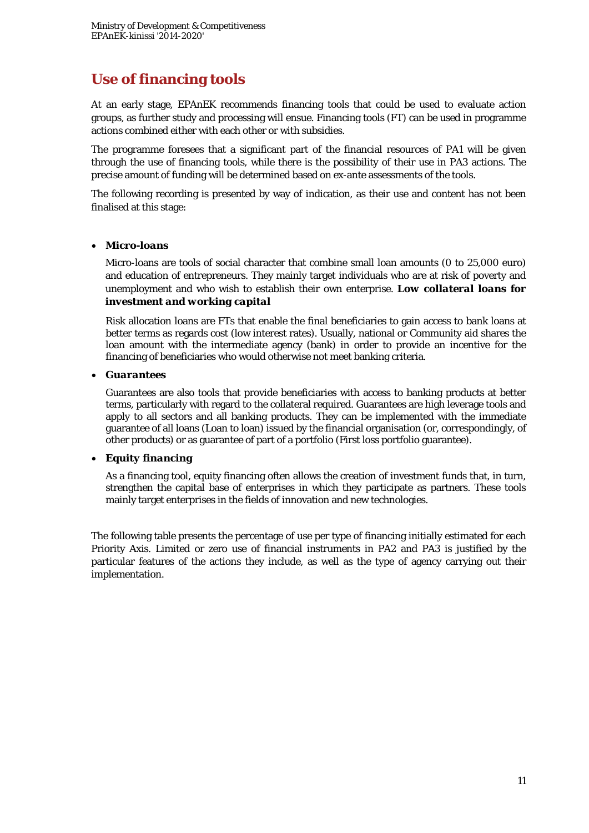# **Use of financing tools**

At an early stage, EPAnEK recommends financing tools that could be used to evaluate action groups, as further study and processing will ensue. Financing tools (FT) can be used in programme actions combined either with each other or with subsidies.

The programme foresees that a significant part of the financial resources of PA1 will be given through the use of financing tools, while there is the possibility of their use in PA3 actions. The precise amount of funding will be determined based on ex-ante assessments of the tools.

The following recording is presented by way of indication, as their use and content has not been finalised at this stage:

#### *Micro-loans*

Micro-loans are tools of social character that combine small loan amounts (0 to 25,000 euro) and education of entrepreneurs. They mainly target individuals who are at risk of poverty and unemployment and who wish to establish their own enterprise. *Low collateral loans for investment and working capital*

Risk allocation loans are FTs that enable the final beneficiaries to gain access to bank loans at better terms as regards cost (low interest rates). Usually, national or Community aid shares the loan amount with the intermediate agency (bank) in order to provide an incentive for the financing of beneficiaries who would otherwise not meet banking criteria.

#### *Guarantees*

Guarantees are also tools that provide beneficiaries with access to banking products at better terms, particularly with regard to the collateral required. Guarantees are high leverage tools and apply to all sectors and all banking products. They can be implemented with the immediate guarantee of all loans (Loan to loan) issued by the financial organisation (or, correspondingly, of other products) or as guarantee of part of a portfolio (First loss portfolio guarantee).

#### *Equity financing*

As a financing tool, equity financing often allows the creation of investment funds that, in turn, strengthen the capital base of enterprises in which they participate as partners. These tools mainly target enterprises in the fields of innovation and new technologies.

The following table presents the percentage of use per type of financing initially estimated for each Priority Axis. Limited or zero use of financial instruments in PA2 and PA3 is justified by the particular features of the actions they include, as well as the type of agency carrying out their implementation.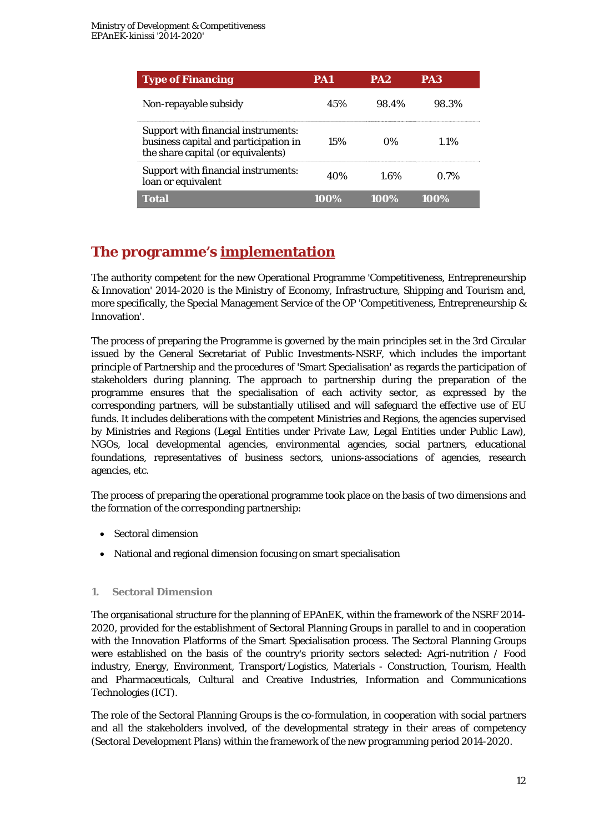| <b>Type of Financing</b>                                                                                           | PA1  | PA <sub>2</sub> | PA3     |
|--------------------------------------------------------------------------------------------------------------------|------|-----------------|---------|
| Non-repayable subsidy                                                                                              | 45%  | 98.4%           | 98.3%   |
| Support with financial instruments:<br>business capital and participation in<br>the share capital (or equivalents) | 15%  | በ%              | 1.1%    |
| Support with financial instruments:<br>loan or equivalent                                                          | 40%  | 1.6%            | $0.7\%$ |
| Total                                                                                                              | 100% | 100%            | 100%    |

# **The programme's implementation**

The authority competent for the new Operational Programme 'Competitiveness, Entrepreneurship & Innovation' 2014-2020 is the Ministry of Economy, Infrastructure, Shipping and Tourism and, more specifically, the Special Management Service of the OP 'Competitiveness, Entrepreneurship & Innovation'.

The process of preparing the Programme is governed by the main principles set in the 3rd Circular issued by the General Secretariat of Public Investments-NSRF, which includes the important principle of Partnership and the procedures of 'Smart Specialisation' as regards the participation of stakeholders during planning. The approach to partnership during the preparation of the programme ensures that the specialisation of each activity sector, as expressed by the corresponding partners, will be substantially utilised and will safeguard the effective use of EU funds. It includes deliberations with the competent Ministries and Regions, the agencies supervised by Ministries and Regions (Legal Entities under Private Law, Legal Entities under Public Law), NGOs, local developmental agencies, environmental agencies, social partners, educational foundations, representatives of business sectors, unions-associations of agencies, research agencies, etc.

The process of preparing the operational programme took place on the basis of two dimensions and the formation of the corresponding partnership:

- Sectoral dimension
- National and regional dimension focusing on smart specialisation

#### **1. Sectoral Dimension**

The organisational structure for the planning of EPAnEK, within the framework of the NSRF 2014- 2020, provided for the establishment of Sectoral Planning Groups in parallel to and in cooperation with the Innovation Platforms of the Smart Specialisation process. The Sectoral Planning Groups were established on the basis of the country's priority sectors selected: Agri-nutrition / Food industry, Energy, Environment, Transport/Logistics, Materials - Construction, Tourism, Health and Pharmaceuticals, Cultural and Creative Industries, Information and Communications Technologies (ICT).

The role of the Sectoral Planning Groups is the co-formulation, in cooperation with social partners and all the stakeholders involved, of the developmental strategy in their areas of competency (Sectoral Development Plans) within the framework of the new programming period 2014-2020.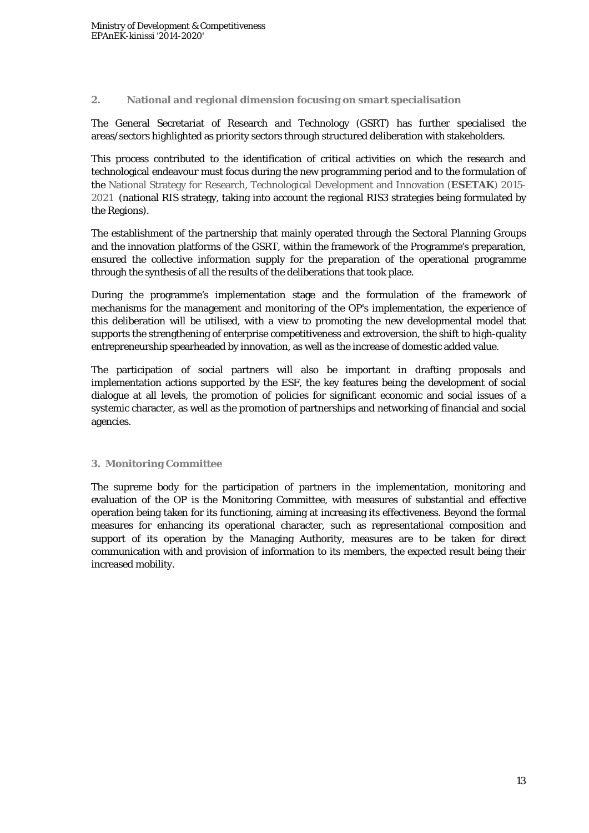#### **2. National and regional dimension focusing on smart specialisation**

The General Secretariat of Research and Technology (GSRT) has further specialised the areas/sectors highlighted as priority sectors through structured deliberation with stakeholders.

This process contributed to the identification of critical activities on which the research and technological endeavour must focus during the new programming period and to the formulation of the National Strategy for Research, Technological Development and Innovation (**ESETAK**) 2015- 2021 (national RIS strategy, taking into account the regional RIS3 strategies being formulated by the Regions).

The establishment of the partnership that mainly operated through the Sectoral Planning Groups and the innovation platforms of the GSRT, within the framework of the Programme's preparation, ensured the collective information supply for the preparation of the operational programme through the synthesis of all the results of the deliberations that took place.

During the programme's implementation stage and the formulation of the framework of mechanisms for the management and monitoring of the OP's implementation, the experience of this deliberation will be utilised, with a view to promoting the new developmental model that supports the strengthening of enterprise competitiveness and extroversion, the shift to high-quality entrepreneurship spearheaded by innovation, as well as the increase of domestic added value.

The participation of social partners will also be important in drafting proposals and implementation actions supported by the ESF, the key features being the development of social dialogue at all levels, the promotion of policies for significant economic and social issues of a systemic character, as well as the promotion of partnerships and networking of financial and social agencies.

#### **3. Monitoring Committee**

The supreme body for the participation of partners in the implementation, monitoring and evaluation of the OP is the Monitoring Committee, with measures of substantial and effective operation being taken for its functioning, aiming at increasing its effectiveness. Beyond the formal measures for enhancing its operational character, such as representational composition and support of its operation by the Managing Authority, measures are to be taken for direct communication with and provision of information to its members, the expected result being their increased mobility.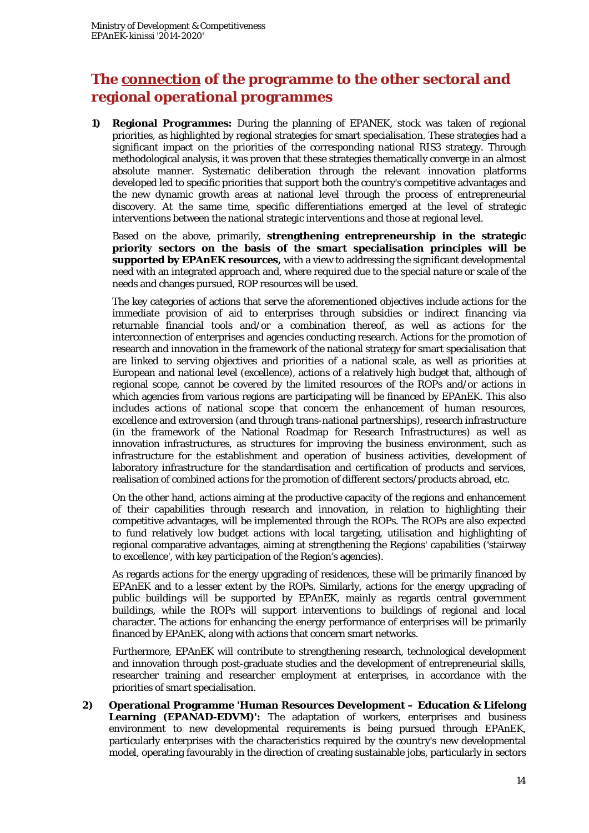## **The connection of the programme to the other sectoral and regional operational programmes**

**1) Regional Programmes:** During the planning of EPANEK, stock was taken of regional priorities, as highlighted by regional strategies for smart specialisation. These strategies had a significant impact on the priorities of the corresponding national RIS3 strategy. Through methodological analysis, it was proven that these strategies thematically converge in an almost absolute manner. Systematic deliberation through the relevant innovation platforms developed led to specific priorities that support both the country's competitive advantages and the new dynamic growth areas at national level through the process of entrepreneurial discovery. At the same time, specific differentiations emerged at the level of strategic interventions between the national strategic interventions and those at regional level.

Based on the above, primarily, **strengthening entrepreneurship in the strategic priority sectors on the basis of the smart specialisation principles will be supported by EPAnEK resources,** with a view to addressing the significant developmental need with an integrated approach and, where required due to the special nature or scale of the needs and changes pursued, ROP resources will be used.

The key categories of actions that serve the aforementioned objectives include actions for the immediate provision of aid to enterprises through subsidies or indirect financing via returnable financial tools and/or a combination thereof, as well as actions for the interconnection of enterprises and agencies conducting research. Actions for the promotion of research and innovation in the framework of the national strategy for smart specialisation that are linked to serving objectives and priorities of a national scale, as well as priorities at European and national level (excellence), actions of a relatively high budget that, although of regional scope, cannot be covered by the limited resources of the ROPs and/or actions in which agencies from various regions are participating will be financed by EPAnEK. This also includes actions of national scope that concern the enhancement of human resources, excellence and extroversion (and through trans-national partnerships), research infrastructure (in the framework of the National Roadmap for Research Infrastructures) as well as innovation infrastructures, as structures for improving the business environment, such as infrastructure for the establishment and operation of business activities, development of laboratory infrastructure for the standardisation and certification of products and services, realisation of combined actions for the promotion of different sectors/products abroad, etc.

On the other hand, actions aiming at the productive capacity of the regions and enhancement of their capabilities through research and innovation, in relation to highlighting their competitive advantages, will be implemented through the ROPs. The ROPs are also expected to fund relatively low budget actions with local targeting, utilisation and highlighting of regional comparative advantages, aiming at strengthening the Regions' capabilities ('stairway to excellence', with key participation of the Region's agencies).

As regards actions for the energy upgrading of residences, these will be primarily financed by EPAnEK and to a lesser extent by the ROPs. Similarly, actions for the energy upgrading of public buildings will be supported by EPAnEK, mainly as regards central government buildings, while the ROPs will support interventions to buildings of regional and local character. The actions for enhancing the energy performance of enterprises will be primarily financed by EPAnEK, along with actions that concern smart networks.

Furthermore, EPAnEK will contribute to strengthening research, technological development and innovation through post-graduate studies and the development of entrepreneurial skills, researcher training and researcher employment at enterprises, in accordance with the priorities of smart specialisation.

**2) Operational Programme 'Human Resources Development – Education & Lifelong Learning (EPANAD-EDVM)':** The adaptation of workers, enterprises and business environment to new developmental requirements is being pursued through EPAnEK, particularly enterprises with the characteristics required by the country's new developmental model, operating favourably in the direction of creating sustainable jobs, particularly in sectors